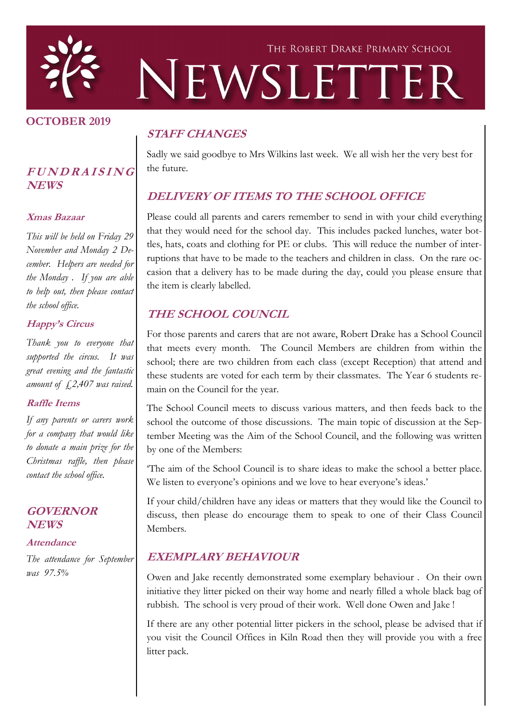

### **OCTOBER 2019**

## **<sup>F</sup> <sup>U</sup> <sup>N</sup> <sup>D</sup> <sup>R</sup> <sup>A</sup> <sup>I</sup> <sup>S</sup> <sup>I</sup> <sup>N</sup> <sup>G</sup> NEWS**

#### **Xmas Bazaar**

*This will be held on Friday 29 November and Monday 2 December. Helpers are needed for the Monday . If you are able to help out, then please contact the school office.*

#### **Happy's Circus**

*Thank you to everyone that supported the circus. It was great evening and the fantastic amount of £2,407 was raised.* 

### **Raffle Items**

*If any parents or carers work for a company that would like to donate a main prize for the Christmas raffle, then please contact the school office.*

### **GOVERNOR NEWS**

#### **Attendance**

*The attendance for September was 97.5%*

## **STAFF CHANGES**

Sadly we said goodbye to Mrs Wilkins last week. We all wish her the very best for the future.

## **DELIVERY OF ITEMS TO THE SCHOOL OFFICE**

Please could all parents and carers remember to send in with your child everything that they would need for the school day. This includes packed lunches, water bottles, hats, coats and clothing for PE or clubs. This will reduce the number of interruptions that have to be made to the teachers and children in class. On the rare occasion that a delivery has to be made during the day, could you please ensure that the item is clearly labelled.

## **THE SCHOOL COUNCIL**

For those parents and carers that are not aware, Robert Drake has a School Council that meets every month. The Council Members are children from within the school; there are two children from each class (except Reception) that attend and these students are voted for each term by their classmates. The Year 6 students remain on the Council for the year.

The School Council meets to discuss various matters, and then feeds back to the school the outcome of those discussions. The main topic of discussion at the September Meeting was the Aim of the School Council, and the following was written by one of the Members:

'The aim of the School Council is to share ideas to make the school a better place. We listen to everyone's opinions and we love to hear everyone's ideas.'

If your child/children have any ideas or matters that they would like the Council to discuss, then please do encourage them to speak to one of their Class Council Members.

### **EXEMPLARY BEHAVIOUR**

Owen and Jake recently demonstrated some exemplary behaviour . On their own initiative they litter picked on their way home and nearly filled a whole black bag of rubbish. The school is very proud of their work. Well done Owen and Jake !

If there are any other potential litter pickers in the school, please be advised that if you visit the Council Offices in Kiln Road then they will provide you with a free litter pack.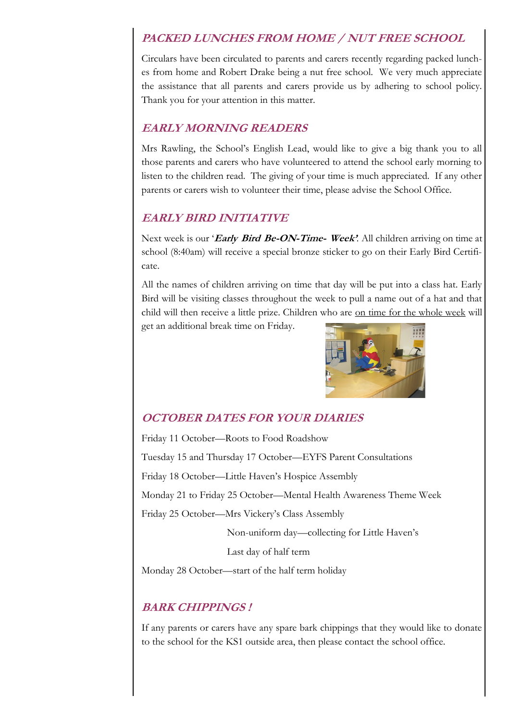## **PACKED LUNCHES FROM HOME / NUT FREE SCHOOL**

Circulars have been circulated to parents and carers recently regarding packed lunches from home and Robert Drake being a nut free school. We very much appreciate the assistance that all parents and carers provide us by adhering to school policy. Thank you for your attention in this matter.

## **EARLY MORNING READERS**

Mrs Rawling, the School's English Lead, would like to give a big thank you to all those parents and carers who have volunteered to attend the school early morning to listen to the children read. The giving of your time is much appreciated. If any other parents or carers wish to volunteer their time, please advise the School Office.

## **EARLY BIRD INITIATIVE**

Next week is our '**Early Bird Be-ON-Time- Week'***.* All children arriving on time at school (8:40am) will receive a special bronze sticker to go on their Early Bird Certificate.

All the names of children arriving on time that day will be put into a class hat. Early Bird will be visiting classes throughout the week to pull a name out of a hat and that child will then receive a little prize. Children who are on time for the whole week will

get an additional break time on Friday.



# **OCTOBER DATES FOR YOUR DIARIES**

Friday 11 October—Roots to Food Roadshow Tuesday 15 and Thursday 17 October—EYFS Parent Consultations Friday 18 October—Little Haven's Hospice Assembly Monday 21 to Friday 25 October—Mental Health Awareness Theme Week Friday 25 October—Mrs Vickery's Class Assembly

Non-uniform day—collecting for Little Haven's

Last day of half term

Monday 28 October—start of the half term holiday

## **BARK CHIPPINGS !**

If any parents or carers have any spare bark chippings that they would like to donate to the school for the KS1 outside area, then please contact the school office.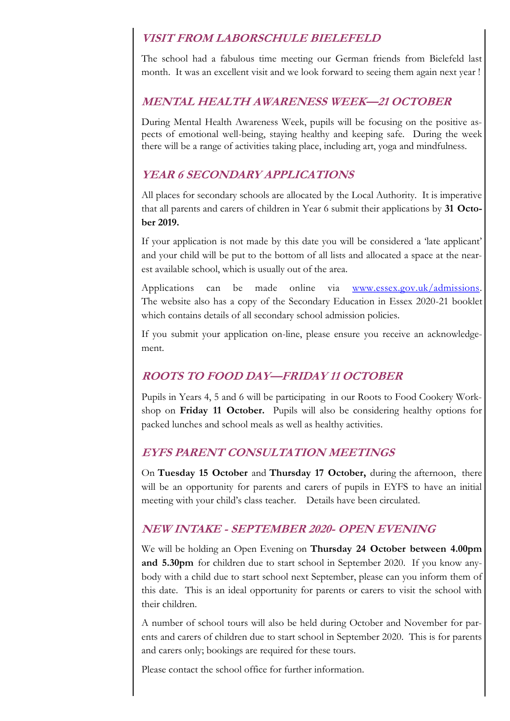## **VISIT FROM LABORSCHULE BIELEFELD**

The school had a fabulous time meeting our German friends from Bielefeld last month. It was an excellent visit and we look forward to seeing them again next year !

## **MENTAL HEALTH AWARENESS WEEK—21 OCTOBER**

During Mental Health Awareness Week, pupils will be focusing on the positive aspects of emotional well-being, staying healthy and keeping safe. During the week there will be a range of activities taking place, including art, yoga and mindfulness.

## **YEAR 6 SECONDARY APPLICATIONS**

All places for secondary schools are allocated by the Local Authority. It is imperative that all parents and carers of children in Year 6 submit their applications by **31 October 2019.** 

If your application is not made by this date you will be considered a 'late applicant' and your child will be put to the bottom of all lists and allocated a space at the nearest available school, which is usually out of the area.

Applications can be made online via [www.essex.gov.uk/admissions.](http://www.essex.gov.uk/admissions) The website also has a copy of the Secondary Education in Essex 2020-21 booklet which contains details of all secondary school admission policies.

If you submit your application on-line, please ensure you receive an acknowledgement.

## **ROOTS TO FOOD DAY—FRIDAY 11 OCTOBER**

Pupils in Years 4, 5 and 6 will be participating in our Roots to Food Cookery Workshop on **Friday 11 October.** Pupils will also be considering healthy options for packed lunches and school meals as well as healthy activities.

## **EYFS PARENT CONSULTATION MEETINGS**

On **Tuesday 15 October** and **Thursday 17 October,** during the afternoon, there will be an opportunity for parents and carers of pupils in EYFS to have an initial meeting with your child's class teacher. Details have been circulated.

## **NEW INTAKE - SEPTEMBER 2020- OPEN EVENING**

We will be holding an Open Evening on **Thursday 24 October between 4.00pm and 5.30pm** for children due to start school in September 2020. If you know anybody with a child due to start school next September, please can you inform them of this date. This is an ideal opportunity for parents or carers to visit the school with their children.

A number of school tours will also be held during October and November for parents and carers of children due to start school in September 2020. This is for parents and carers only; bookings are required for these tours.

Please contact the school office for further information.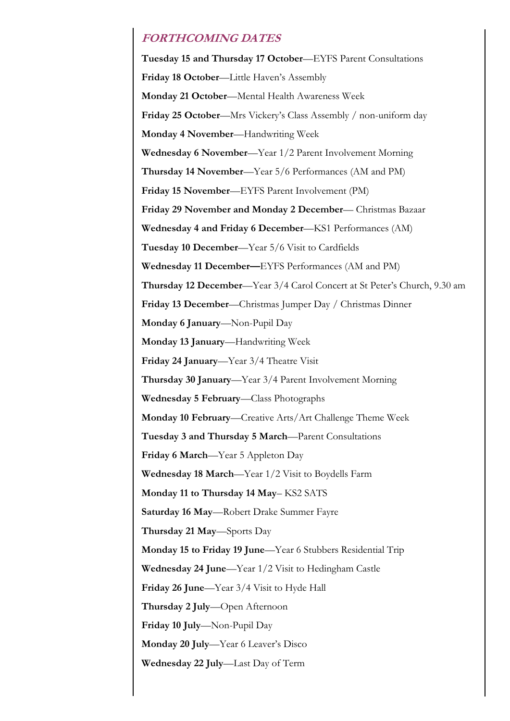## **FORTHCOMING DATES**

**Tuesday 15 and Thursday 17 October**—EYFS Parent Consultations **Friday 18 October**—Little Haven's Assembly **Monday 21 October**—Mental Health Awareness Week **Friday 25 October**—Mrs Vickery's Class Assembly / non-uniform day **Monday 4 November**—Handwriting Week **Wednesday 6 November**—Year 1/2 Parent Involvement Morning **Thursday 14 November**—Year 5/6 Performances (AM and PM) **Friday 15 November**—EYFS Parent Involvement (PM) **Friday 29 November and Monday 2 December**— Christmas Bazaar **Wednesday 4 and Friday 6 December**—KS1 Performances (AM) **Tuesday 10 December**—Year 5/6 Visit to Cardfields **Wednesday 11 December—**EYFS Performances (AM and PM) **Thursday 12 December**—Year 3/4 Carol Concert at St Peter's Church, 9.30 am **Friday 13 December**—Christmas Jumper Day / Christmas Dinner **Monday 6 January**—Non-Pupil Day **Monday 13 January**—Handwriting Week **Friday 24 January**—Year 3/4 Theatre Visit **Thursday 30 January**—Year 3/4 Parent Involvement Morning **Wednesday 5 February**—Class Photographs **Monday 10 February**—Creative Arts/Art Challenge Theme Week **Tuesday 3 and Thursday 5 March**—Parent Consultations **Friday 6 March**—Year 5 Appleton Day **Wednesday 18 March**—Year 1/2 Visit to Boydells Farm **Monday 11 to Thursday 14 May**– KS2 SATS **Saturday 16 May**—Robert Drake Summer Fayre **Thursday 21 May**—Sports Day **Monday 15 to Friday 19 June**—Year 6 Stubbers Residential Trip **Wednesday 24 June**—Year 1/2 Visit to Hedingham Castle **Friday 26 June**—Year 3/4 Visit to Hyde Hall **Thursday 2 July**—Open Afternoon **Friday 10 July**—Non-Pupil Day **Monday 20 July**—Year 6 Leaver's Disco **Wednesday 22 July**—Last Day of Term